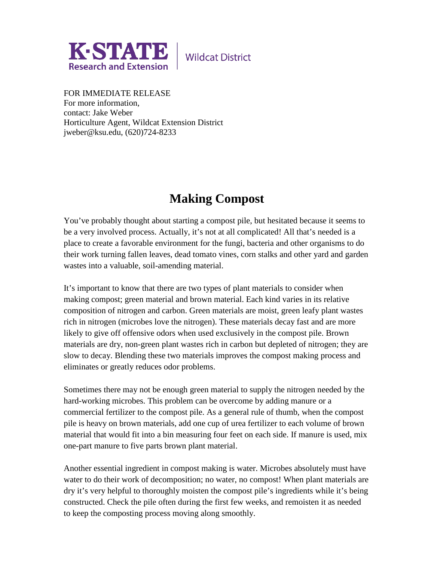

**Wildcat District** 

FOR IMMEDIATE RELEASE For more information, contact: Jake Weber Horticulture Agent, Wildcat Extension District jweber@ksu.edu, (620)724-8233

## **Making Compost**

You've probably thought about starting a compost pile, but hesitated because it seems to be a very involved process. Actually, it's not at all complicated! All that's needed is a place to create a favorable environment for the fungi, bacteria and other organisms to do their work turning fallen leaves, dead tomato vines, corn stalks and other yard and garden wastes into a valuable, soil-amending material.

It's important to know that there are two types of plant materials to consider when making compost; green material and brown material. Each kind varies in its relative composition of nitrogen and carbon. Green materials are moist, green leafy plant wastes rich in nitrogen (microbes love the nitrogen). These materials decay fast and are more likely to give off offensive odors when used exclusively in the compost pile. Brown materials are dry, non-green plant wastes rich in carbon but depleted of nitrogen; they are slow to decay. Blending these two materials improves the compost making process and eliminates or greatly reduces odor problems.

Sometimes there may not be enough green material to supply the nitrogen needed by the hard-working microbes. This problem can be overcome by adding manure or a commercial fertilizer to the compost pile. As a general rule of thumb, when the compost pile is heavy on brown materials, add one cup of urea fertilizer to each volume of brown material that would fit into a bin measuring four feet on each side. If manure is used, mix one-part manure to five parts brown plant material.

Another essential ingredient in compost making is water. Microbes absolutely must have water to do their work of decomposition; no water, no compost! When plant materials are dry it's very helpful to thoroughly moisten the compost pile's ingredients while it's being constructed. Check the pile often during the first few weeks, and remoisten it as needed to keep the composting process moving along smoothly.